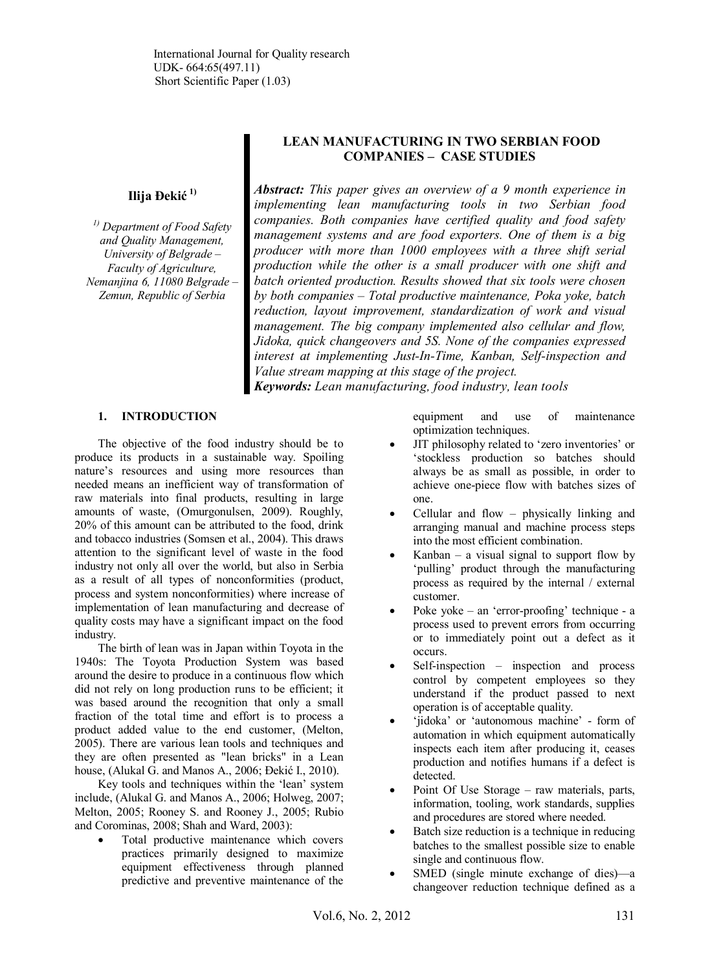**Ilija Đekić 1)**

*1) Department of Food Safety and Quality Management, University of Belgrade – Faculty of Agriculture, Nemanjina 6, 11080 Belgrade – Zemun, Republic of Serbia*

# **LEAN MANUFACTURING IN TWO SERBIAN FOOD COMPANIES – CASE STUDIES**

*Abstract: This paper gives an overview of a 9 month experience in implementing lean manufacturing tools in two Serbian food companies. Both companies have certified quality and food safety management systems and are food exporters. One of them is a big producer with more than 1000 employees with a three shift serial production while the other is a small producer with one shift and batch oriented production. Results showed that six tools were chosen by both companies – Total productive maintenance, Poka yoke, batch reduction, layout improvement, standardization of work and visual management. The big company implemented also cellular and flow, Jidoka, quick changeovers and 5S. None of the companies expressed interest at implementing Just-In-Time, Kanban, Self-inspection and Value stream mapping at this stage of the project. Keywords: Lean manufacturing, food industry, lean tools*

## **1. INTRODUCTION**

The objective of the food industry should be to produce its products in a sustainable way. Spoiling nature's resources and using more resources than needed means an inefficient way of transformation of raw materials into final products, resulting in large amounts of waste, (Omurgonulsen, 2009). Roughly, 20% of this amount can be attributed to the food, drink and tobacco industries (Somsen et al., 2004). This draws attention to the significant level of waste in the food industry not only all over the world, but also in Serbia as a result of all types of nonconformities (product, process and system nonconformities) where increase of implementation of lean manufacturing and decrease of quality costs may have a significant impact on the food industry.

The birth of lean was in Japan within Toyota in the 1940s: The Toyota Production System was based around the desire to produce in a continuous flow which did not rely on long production runs to be efficient; it was based around the recognition that only a small fraction of the total time and effort is to process a product added value to the end customer, (Melton, 2005). There are various lean tools and techniques and they are often presented as "lean bricks" in a Lean house, (Alukal G. and Manos A., 2006; Đekić I., 2010).

Key tools and techniques within the 'lean' system include, (Alukal G. and Manos A., 2006; Holweg, 2007; Melton, 2005; Rooney S. and Rooney J., 2005; Rubio and Corominas, 2008; Shah and Ward, 2003):

Total productive maintenance which covers practices primarily designed to maximize equipment effectiveness through planned predictive and preventive maintenance of the equipment and use of maintenance optimization techniques.

- JIT philosophy related to 'zero inventories' or 'stockless production so batches should always be as small as possible, in order to achieve one-piece flow with batches sizes of one.
- Cellular and flow  $-$  physically linking and arranging manual and machine process steps into the most efficient combination.
- Kanban a visual signal to support flow by 'pulling' product through the manufacturing process as required by the internal / external customer.
- Poke yoke an 'error-proofing' technique a process used to prevent errors from occurring or to immediately point out a defect as it occurs.
- Self-inspection inspection and process control by competent employees so they understand if the product passed to next operation is of acceptable quality.
- 'jidoka' or 'autonomous machine' form of automation in which equipment automatically inspects each item after producing it, ceases production and notifies humans if a defect is detected.
- Point Of Use Storage raw materials, parts, information, tooling, work standards, supplies and procedures are stored where needed.
- Batch size reduction is a technique in reducing batches to the smallest possible size to enable single and continuous flow.
- SMED (single minute exchange of dies)—a changeover reduction technique defined as a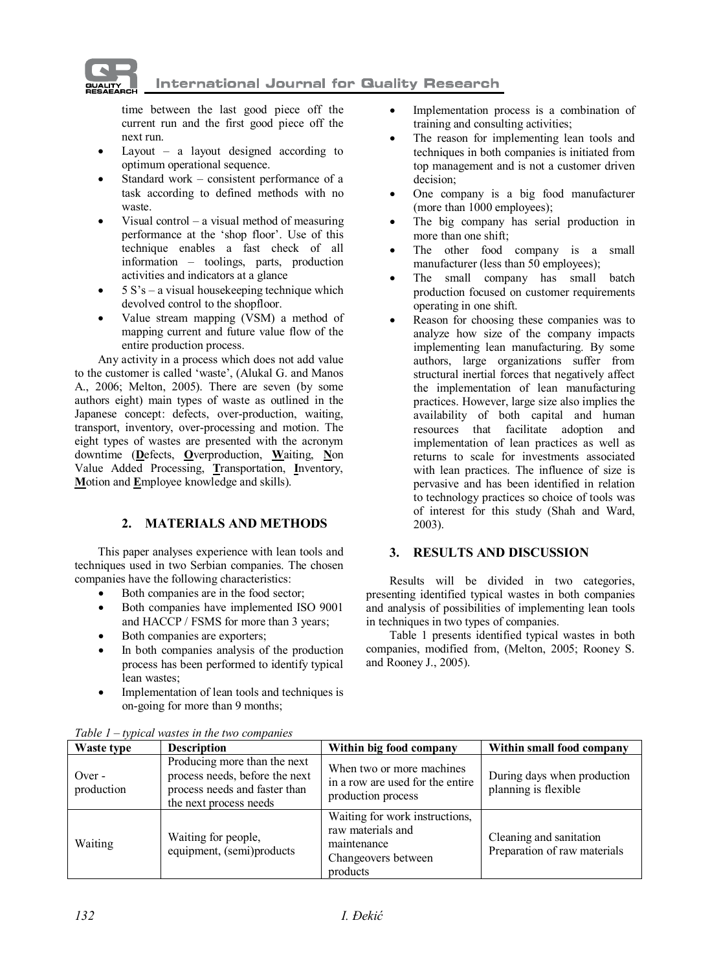**International Journal for Quality Research** 

time between the last good piece off the current run and the first good piece off the next run.

Layout – a layout designed according to optimum operational sequence.

**QUALIT** 

- Standard work consistent performance of a task according to defined methods with no waste.
- Visual control a visual method of measuring performance at the 'shop floor'. Use of this technique enables a fast check of all information – toolings, parts, production activities and indicators at a glance
- $5 S's a visual housekeeping technique which$ devolved control to the shopfloor.
- Value stream mapping (VSM) a method of mapping current and future value flow of the entire production process.

Any activity in a process which does not add value to the customer is called 'waste', (Alukal G. and Manos A., 2006; Melton, 2005). There are seven (by some authors eight) main types of waste as outlined in the Japanese concept: defects, over-production, waiting, transport, inventory, over-processing and motion. The eight types of wastes are presented with the acronym downtime (**D**efects, **O**verproduction, **W**aiting, **N**on Value Added Processing, **T**ransportation, **I**nventory, **M**otion and **E**mployee knowledge and skills).

# **2. MATERIALS AND METHODS**

This paper analyses experience with lean tools and techniques used in two Serbian companies. The chosen companies have the following characteristics:

- Both companies are in the food sector;
- Both companies have implemented ISO 9001 and HACCP / FSMS for more than 3 years;
- Both companies are exporters;
- · In both companies analysis of the production process has been performed to identify typical lean wastes;
- Implementation of lean tools and techniques is on-going for more than 9 months;
- · Implementation process is a combination of training and consulting activities;
- The reason for implementing lean tools and techniques in both companies is initiated from top management and is not a customer driven decision;
- One company is a big food manufacturer (more than 1000 employees);
- The big company has serial production in more than one shift;
- The other food company is a small manufacturer (less than 50 employees);
- The small company has small batch production focused on customer requirements operating in one shift.
- Reason for choosing these companies was to analyze how size of the company impacts implementing lean manufacturing. By some authors, large organizations suffer from structural inertial forces that negatively affect the implementation of lean manufacturing practices. However, large size also implies the availability of both capital and human resources that facilitate adoption and implementation of lean practices as well as returns to scale for investments associated with lean practices. The influence of size is pervasive and has been identified in relation to technology practices so choice of tools was of interest for this study (Shah and Ward, 2003).

# **3. RESULTS AND DISCUSSION**

Results will be divided in two categories, presenting identified typical wastes in both companies and analysis of possibilities of implementing lean tools in techniques in two types of companies.

Table 1 presents identified typical wastes in both companies, modified from, (Melton, 2005; Rooney S. and Rooney J., 2005).

| Table $I = \nu$ pical wastes in the two companies |                                                                                                                           |                                                                                                       |                                                         |  |  |
|---------------------------------------------------|---------------------------------------------------------------------------------------------------------------------------|-------------------------------------------------------------------------------------------------------|---------------------------------------------------------|--|--|
| Waste type                                        | <b>Description</b>                                                                                                        | Within big food company                                                                               | Within small food company                               |  |  |
| Over -<br>production                              | Producing more than the next<br>process needs, before the next<br>process needs and faster than<br>the next process needs | When two or more machines<br>in a row are used for the entire<br>production process                   | During days when production<br>planning is flexible     |  |  |
| Waiting                                           | Waiting for people,<br>equipment, (semi)products                                                                          | Waiting for work instructions,<br>raw materials and<br>maintenance<br>Changeovers between<br>products | Cleaning and sanitation<br>Preparation of raw materials |  |  |

*Table 1 – typical wastes in the two companies*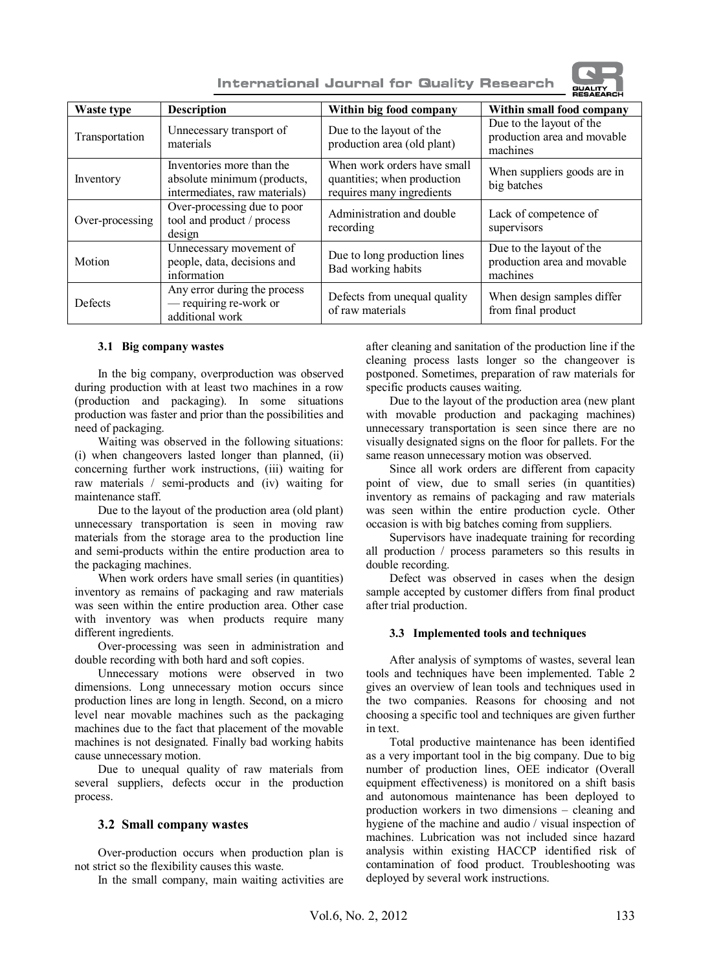**International Journal for Quality Research** 



| Waste type      | <b>Description</b>                                                                        | Within big food company                                                                 | Within small food company                                           |  |
|-----------------|-------------------------------------------------------------------------------------------|-----------------------------------------------------------------------------------------|---------------------------------------------------------------------|--|
| Transportation  | Unnecessary transport of<br>materials                                                     | Due to the layout of the<br>production area (old plant)                                 | Due to the layout of the<br>production area and movable<br>machines |  |
| Inventory       | Inventories more than the<br>absolute minimum (products,<br>intermediates, raw materials) | When work orders have small<br>quantities; when production<br>requires many ingredients | When suppliers goods are in<br>big batches                          |  |
| Over-processing | Over-processing due to poor<br>tool and product / process<br>design                       | Administration and double<br>recording                                                  | Lack of competence of<br>supervisors                                |  |
| Motion          | Unnecessary movement of<br>people, data, decisions and<br>information                     | Due to long production lines<br>Bad working habits                                      | Due to the layout of the<br>production area and movable<br>machines |  |
| Defects         | Any error during the process<br>— requiring re-work or<br>additional work                 | Defects from unequal quality<br>of raw materials                                        | When design samples differ<br>from final product                    |  |

#### **3.1 Big company wastes**

In the big company, overproduction was observed during production with at least two machines in a row (production and packaging). In some situations production was faster and prior than the possibilities and need of packaging.

Waiting was observed in the following situations: (i) when changeovers lasted longer than planned, (ii) concerning further work instructions, (iii) waiting for raw materials / semi-products and (iv) waiting for maintenance staff.

Due to the layout of the production area (old plant) unnecessary transportation is seen in moving raw materials from the storage area to the production line and semi-products within the entire production area to the packaging machines.

When work orders have small series (in quantities) inventory as remains of packaging and raw materials was seen within the entire production area. Other case with inventory was when products require many different ingredients.

Over-processing was seen in administration and double recording with both hard and soft copies.

Unnecessary motions were observed in two dimensions. Long unnecessary motion occurs since production lines are long in length. Second, on a micro level near movable machines such as the packaging machines due to the fact that placement of the movable machines is not designated. Finally bad working habits cause unnecessary motion.

Due to unequal quality of raw materials from several suppliers, defects occur in the production process.

### **3.2 Small company wastes**

Over-production occurs when production plan is not strict so the flexibility causes this waste.

In the small company, main waiting activities are

after cleaning and sanitation of the production line if the cleaning process lasts longer so the changeover is postponed. Sometimes, preparation of raw materials for specific products causes waiting.

Due to the layout of the production area (new plant with movable production and packaging machines) unnecessary transportation is seen since there are no visually designated signs on the floor for pallets. For the same reason unnecessary motion was observed.

Since all work orders are different from capacity point of view, due to small series (in quantities) inventory as remains of packaging and raw materials was seen within the entire production cycle. Other occasion is with big batches coming from suppliers.

Supervisors have inadequate training for recording all production / process parameters so this results in double recording.

Defect was observed in cases when the design sample accepted by customer differs from final product after trial production.

#### **3.3 Implemented tools and techniques**

After analysis of symptoms of wastes, several lean tools and techniques have been implemented. Table 2 gives an overview of lean tools and techniques used in the two companies. Reasons for choosing and not choosing a specific tool and techniques are given further in text.

Total productive maintenance has been identified as a very important tool in the big company. Due to big number of production lines, OEE indicator (Overall equipment effectiveness) is monitored on a shift basis and autonomous maintenance has been deployed to production workers in two dimensions – cleaning and hygiene of the machine and audio / visual inspection of machines. Lubrication was not included since hazard analysis within existing HACCP identified risk of contamination of food product. Troubleshooting was deployed by several work instructions.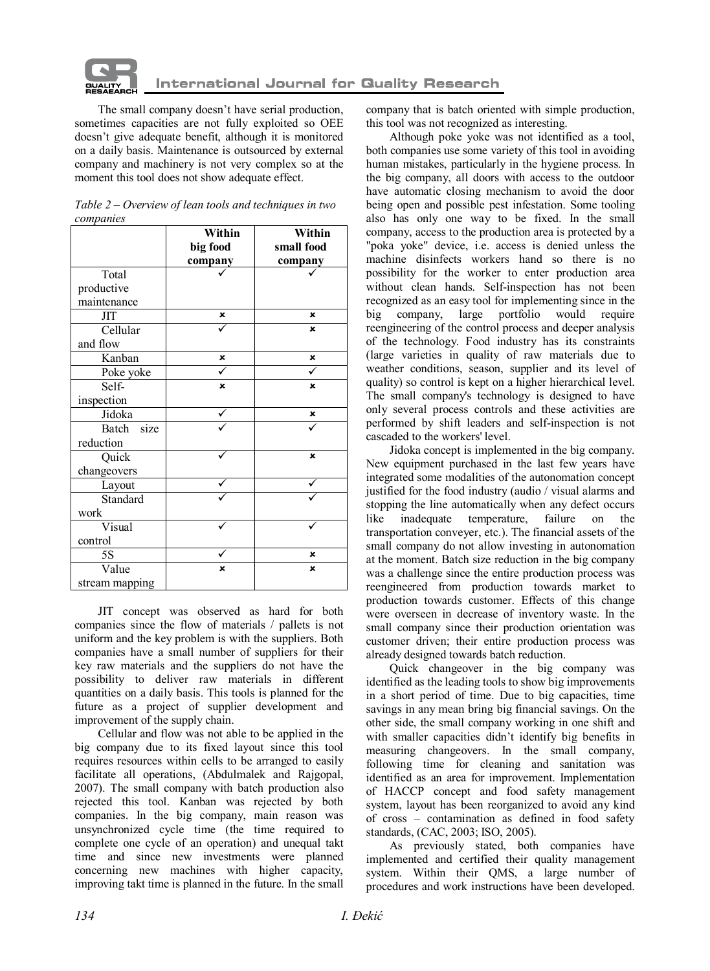

The small company doesn't have serial production, sometimes capacities are not fully exploited so OEE doesn't give adequate benefit, although it is monitored on a daily basis. Maintenance is outsourced by external company and machinery is not very complex so at the moment this tool does not show adequate effect.

|                | Within<br>big food<br>company | Within<br>small food<br>company |
|----------------|-------------------------------|---------------------------------|
| Total          |                               |                                 |
| productive     |                               |                                 |
| maintenance    |                               |                                 |
| <b>JIT</b>     | ×                             | ×                               |
| Cellular       |                               | $\boldsymbol{\mathsf{x}}$       |
| and flow       |                               |                                 |
| Kanban         | ×                             | ×                               |
| Poke yoke      |                               |                                 |
| Self-          | $\mathbf{x}$                  | $\mathbf{x}$                    |
| inspection     |                               |                                 |
| Jidoka         |                               | ×                               |
| Batch size     |                               |                                 |
| reduction      |                               |                                 |
| Quick          |                               | $\boldsymbol{\mathsf{x}}$       |
| changeovers    |                               |                                 |
| Layout         |                               |                                 |
| Standard       |                               |                                 |
| work           |                               |                                 |
| Visual         |                               |                                 |
| control        |                               |                                 |
| 5S             |                               | ×                               |
| Value          | ×                             | $\boldsymbol{\mathsf{x}}$       |
| stream mapping |                               |                                 |

| Table $2$ – Overview of lean tools and techniques in two |  |  |
|----------------------------------------------------------|--|--|
| companies                                                |  |  |

JIT concept was observed as hard for both companies since the flow of materials / pallets is not uniform and the key problem is with the suppliers. Both companies have a small number of suppliers for their key raw materials and the suppliers do not have the possibility to deliver raw materials in different quantities on a daily basis. This tools is planned for the future as a project of supplier development and improvement of the supply chain.

Cellular and flow was not able to be applied in the big company due to its fixed layout since this tool requires resources within cells to be arranged to easily facilitate all operations, (Abdulmalek and Rajgopal, 2007). The small company with batch production also rejected this tool. Kanban was rejected by both companies. In the big company, main reason was unsynchronized cycle time (the time required to complete one cycle of an operation) and unequal takt time and since new investments were planned concerning new machines with higher capacity, improving takt time is planned in the future. In the small company that is batch oriented with simple production, this tool was not recognized as interesting.

Although poke yoke was not identified as a tool, both companies use some variety of this tool in avoiding human mistakes, particularly in the hygiene process. In the big company, all doors with access to the outdoor have automatic closing mechanism to avoid the door being open and possible pest infestation. Some tooling also has only one way to be fixed. In the small company, access to the production area is protected by a "poka yoke" device, i.e. access is denied unless the machine disinfects workers hand so there is no possibility for the worker to enter production area without clean hands. Self-inspection has not been recognized as an easy tool for implementing since in the big company. large portfolio would require large portfolio would require reengineering of the control process and deeper analysis of the technology. Food industry has its constraints (large varieties in quality of raw materials due to weather conditions, season, supplier and its level of quality) so control is kept on a higher hierarchical level. The small company's technology is designed to have only several process controls and these activities are performed by shift leaders and self-inspection is not cascaded to the workers' level.

Jidoka concept is implemented in the big company. New equipment purchased in the last few years have integrated some modalities of the autonomation concept justified for the food industry (audio / visual alarms and stopping the line automatically when any defect occurs<br>like inadequate temperature, failure on the like inadequate temperature, failure on the transportation conveyer, etc.). The financial assets of the small company do not allow investing in autonomation at the moment. Batch size reduction in the big company was a challenge since the entire production process was reengineered from production towards market to production towards customer. Effects of this change were overseen in decrease of inventory waste. In the small company since their production orientation was customer driven; their entire production process was already designed towards batch reduction.

Quick changeover in the big company was identified as the leading tools to show big improvements in a short period of time. Due to big capacities, time savings in any mean bring big financial savings. On the other side, the small company working in one shift and with smaller capacities didn't identify big benefits in measuring changeovers. In the small company, following time for cleaning and sanitation was identified as an area for improvement. Implementation of HACCP concept and food safety management system, layout has been reorganized to avoid any kind of cross – contamination as defined in food safety standards, (CAC, 2003; ISO, 2005).

As previously stated, both companies have implemented and certified their quality management system. Within their QMS, a large number of procedures and work instructions have been developed.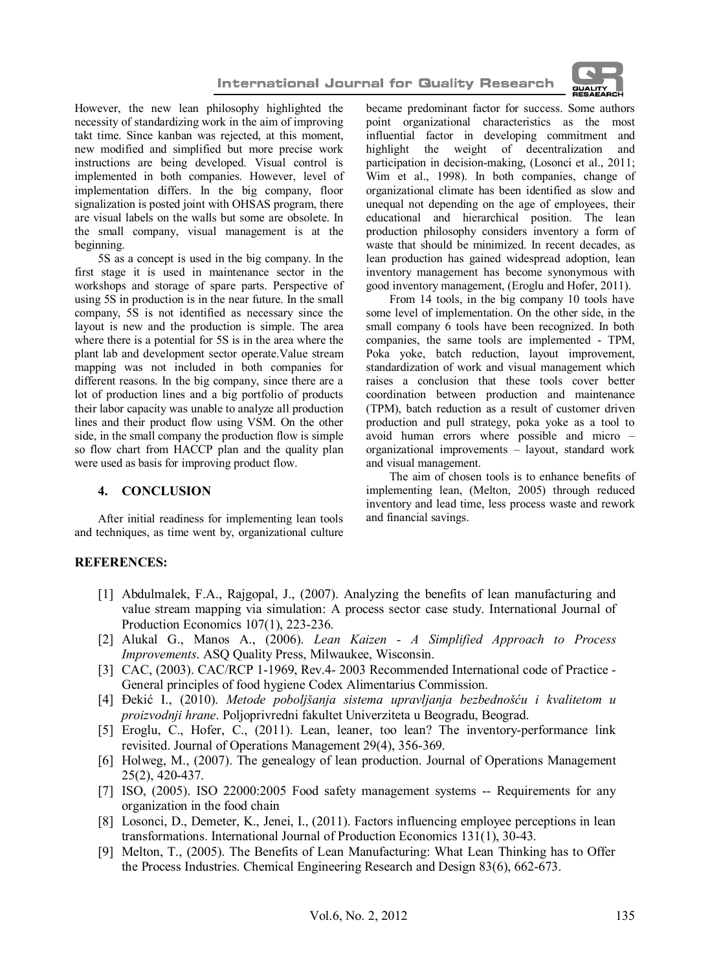

However, the new lean philosophy highlighted the necessity of standardizing work in the aim of improving takt time. Since kanban was rejected, at this moment, new modified and simplified but more precise work instructions are being developed. Visual control is implemented in both companies. However, level of implementation differs. In the big company, floor signalization is posted joint with OHSAS program, there are visual labels on the walls but some are obsolete. In the small company, visual management is at the beginning.

5S as a concept is used in the big company. In the first stage it is used in maintenance sector in the workshops and storage of spare parts. Perspective of using 5S in production is in the near future. In the small company, 5S is not identified as necessary since the layout is new and the production is simple. The area where there is a potential for 5S is in the area where the plant lab and development sector operate.Value stream mapping was not included in both companies for different reasons. In the big company, since there are a lot of production lines and a big portfolio of products their labor capacity was unable to analyze all production lines and their product flow using VSM. On the other side, in the small company the production flow is simple so flow chart from HACCP plan and the quality plan were used as basis for improving product flow.

### **4. CONCLUSION**

After initial readiness for implementing lean tools and techniques, as time went by, organizational culture became predominant factor for success. Some authors point organizational characteristics as the most influential factor in developing commitment and highlight the weight of decentralization and participation in decision-making, (Losonci et al., 2011; Wim et al., 1998). In both companies, change of organizational climate has been identified as slow and unequal not depending on the age of employees, their educational and hierarchical position. The lean production philosophy considers inventory a form of waste that should be minimized. In recent decades, as lean production has gained widespread adoption, lean inventory management has become synonymous with good inventory management, (Eroglu and Hofer, 2011).

From 14 tools, in the big company 10 tools have some level of implementation. On the other side, in the small company 6 tools have been recognized. In both companies, the same tools are implemented - TPM, Poka yoke, batch reduction, layout improvement, standardization of work and visual management which raises a conclusion that these tools cover better coordination between production and maintenance (TPM), batch reduction as a result of customer driven production and pull strategy, poka yoke as a tool to avoid human errors where possible and micro – organizational improvements – layout, standard work and visual management.

The aim of chosen tools is to enhance benefits of implementing lean, (Melton, 2005) through reduced inventory and lead time, less process waste and rework and financial savings.

### **REFERENCES:**

- [1] Abdulmalek, F.A., Rajgopal, J., (2007). Analyzing the benefits of lean manufacturing and value stream mapping via simulation: A process sector case study. International Journal of Production Economics 107(1), 223-236.
- [2] Alukal G., Manos A., (2006). *Lean Kaizen A Simplified Approach to Process Improvements*. ASQ Quality Press, Milwaukee, Wisconsin.
- [3] CAC, (2003). CAC/RCP 1-1969, Rev.4- 2003 Recommended International code of Practice -General principles of food hygiene Codex Alimentarius Commission.
- [4] Đekić I., (2010). *Metode poboljšanja sistema upravljanja bezbednošću i kvalitetom u proizvodnji hrane*. Poljoprivredni fakultet Univerziteta u Beogradu, Beograd.
- [5] Eroglu, C., Hofer, C., (2011). Lean, leaner, too lean? The inventory-performance link revisited. Journal of Operations Management 29(4), 356-369.
- [6] Holweg, M., (2007). The genealogy of lean production. Journal of Operations Management 25(2), 420-437.
- [7] ISO, (2005). ISO 22000:2005 Food safety management systems -- Requirements for any organization in the food chain
- [8] Losonci, D., Demeter, K., Jenei, I., (2011). Factors influencing employee perceptions in lean transformations. International Journal of Production Economics 131(1), 30-43.
- [9] Melton, T., (2005). The Benefits of Lean Manufacturing: What Lean Thinking has to Offer the Process Industries. Chemical Engineering Research and Design 83(6), 662-673.